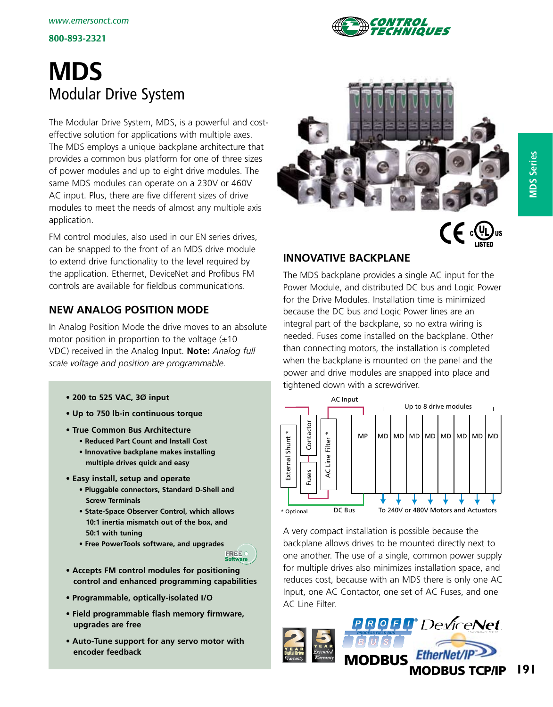

# **MDS** Modular Drive System

The Modular Drive System, MDS, is a powerful and costeffective solution for applications with multiple axes. The MDS employs a unique backplane architecture that provides a common bus platform for one of three sizes of power modules and up to eight drive modules. The same MDS modules can operate on a 230V or 460V AC input. Plus, there are five different sizes of drive modules to meet the needs of almost any multiple axis application.

FM control modules, also used in our EN series drives, can be snapped to the front of an MDS drive module to extend drive functionality to the level required by the application. Ethernet, DeviceNet and Profibus FM controls are available for fieldbus communications.

# **New Analog Position mode**

In Analog Position Mode the drive moves to an absolute motor position in proportion to the voltage  $(\pm 10)$ VDC) received in the Analog Input. **Note:** *Analog full scale voltage and position are programmable.*

- **200 to 525 VAC, 3Ø input**
- **Up to 750 lb-in continuous torque**
- **True Common Bus Architecture** 
	- **Reduced Part Count and Install Cost**
	- **Innovative backplane makes installing multiple drives quick and easy**
- **Easy install, setup and operate**
	- **Pluggable connectors, Standard D-Shell and Screw Terminals**
	- **State-Space Observer Control, which allows 10:1 inertia mismatch out of the box, and 50:1 with tuning**
	- **Free PowerTools software, and upgrades**



- **Accepts FM control modules for positioning control and enhanced programming capabilities**
- **Programmable, optically-isolated I/O**
- **Field programmable flash memory firmware, upgrades are free**
- **Auto-Tune support for any servo motor with encoder feedback**





# **Innovative Backplane**

The MDS backplane provides a single AC input for the Power Module, and distributed DC bus and Logic Power for the Drive Modules. Installation time is minimized because the DC bus and Logic Power lines are an integral part of the backplane, so no extra wiring is needed. Fuses come installed on the backplane. Other than connecting motors, the installation is completed when the backplane is mounted on the panel and the power and drive modules are snapped into place and tightened down with a screwdriver.



A very compact installation is possible because the backplane allows drives to be mounted directly next to one another. The use of a single, common power supply for multiple drives also minimizes installation space, and reduces cost, because with an MDS there is only one AC Input, one AC Contactor, one set of AC Fuses, and one AC Line Filter.

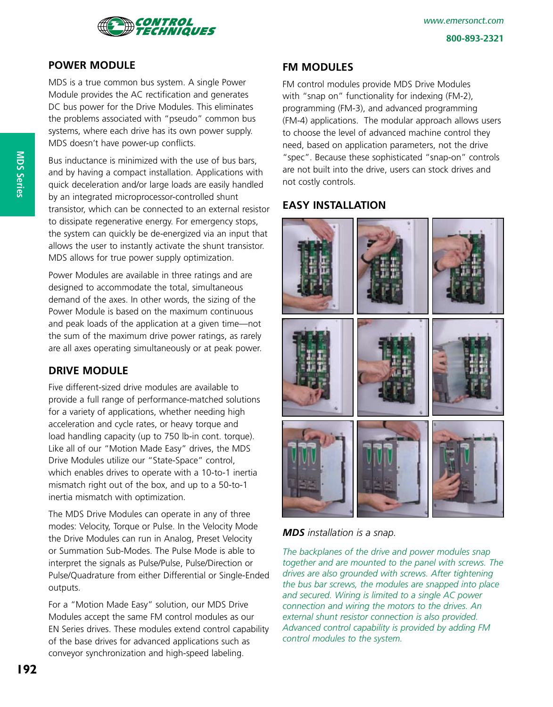

### **Power Module**

MDS is a true common bus system. A single Power Module provides the AC rectification and generates DC bus power for the Drive Modules. This eliminates the problems associated with "pseudo" common bus systems, where each drive has its own power supply. MDS doesn't have power-up conflicts.

Bus inductance is minimized with the use of bus bars, and by having a compact installation. Applications with quick deceleration and/or large loads are easily handled by an integrated microprocessor-controlled shunt transistor, which can be connected to an external resistor to dissipate regenerative energy. For emergency stops, the system can quickly be de-energized via an input that allows the user to instantly activate the shunt transistor. MDS allows for true power supply optimization.

Power Modules are available in three ratings and are designed to accommodate the total, simultaneous demand of the axes. In other words, the sizing of the Power Module is based on the maximum continuous and peak loads of the application at a given time—not the sum of the maximum drive power ratings, as rarely are all axes operating simultaneously or at peak power.

### **Drive Module**

Five different-sized drive modules are available to provide a full range of performance-matched solutions for a variety of applications, whether needing high acceleration and cycle rates, or heavy torque and load handling capacity (up to 750 lb-in cont. torque). Like all of our "Motion Made Easy" drives, the MDS Drive Modules utilize our "State-Space" control, which enables drives to operate with a 10-to-1 inertia mismatch right out of the box, and up to a 50-to-1 inertia mismatch with optimization.

The MDS Drive Modules can operate in any of three modes: Velocity, Torque or Pulse. In the Velocity Mode the Drive Modules can run in Analog, Preset Velocity or Summation Sub-Modes. The Pulse Mode is able to interpret the signals as Pulse/Pulse, Pulse/Direction or Pulse/Quadrature from either Differential or Single-Ended outputs.

For a "Motion Made Easy" solution, our MDS Drive Modules accept the same FM control modules as our EN Series drives. These modules extend control capability of the base drives for advanced applications such as conveyor synchronization and high-speed labeling.

#### **FM Modules**

FM control modules provide MDS Drive Modules with "snap on" functionality for indexing (FM-2), programming (FM-3), and advanced programming (FM-4) applications. The modular approach allows users to choose the level of advanced machine control they need, based on application parameters, not the drive "spec". Because these sophisticated "snap-on" controls are not built into the drive, users can stock drives and not costly controls.

### **Easy Installation**



*MDS installation is a snap.* 

*The backplanes of the drive and power modules snap together and are mounted to the panel with screws. The drives are also grounded with screws. After tightening the bus bar screws, the modules are snapped into place and secured. Wiring is limited to a single AC power connection and wiring the motors to the drives. An external shunt resistor connection is also provided. Advanced control capability is provided by adding FM control modules to the system.*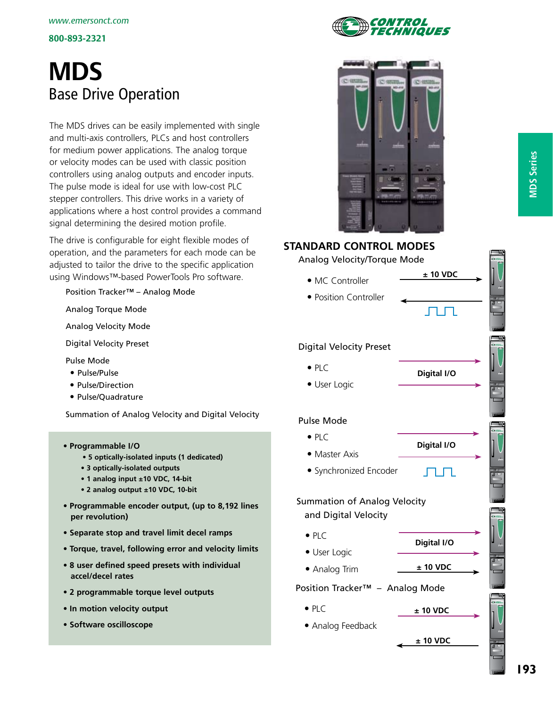# **MDS** Base Drive Operation

The MDS drives can be easily implemented with single and multi-axis controllers, PLCs and host controllers for medium power applications. The analog torque or velocity modes can be used with classic position controllers using analog outputs and encoder inputs. The pulse mode is ideal for use with low-cost PLC stepper controllers. This drive works in a variety of applications where a host control provides a command signal determining the desired motion profile.

The drive is configurable for eight flexible modes of operation, and the parameters for each mode can be adjusted to tailor the drive to the specific application using Windows™-based PowerTools Pro software.

Position Tracker™ – Analog Mode

Analog Torque Mode

Analog Velocity Mode

Digital Velocity Preset

Pulse Mode

- Pulse/Pulse
- Pulse/Direction
- Pulse/Quadrature

Summation of Analog Velocity and Digital Velocity

- **Programmable I/O**
	- **5 optically-isolated inputs (1 dedicated)**
	- **3 optically-isolated outputs**
	- **1 analog input ±10 VDC, 14-bit**
	- **2 analog output ±10 VDC, 10-bit**
- **Programmable encoder output, (up to 8,192 lines per revolution)**
- **Separate stop and travel limit decel ramps**
- **Torque, travel, following error and velocity limits**
- **8 user defined speed presets with individual accel/decel rates**
- **2 programmable torque level outputs**
- **In motion velocity output**
- **Software oscilloscope**





# **Standard Control Modes** Analog Velocity/Torque Mode **±**  New graphic • MC Controller EP-B Drive • Position Controller Digital Velocity Preset  $\bullet$  PLC **Digital I/O** User Logic Pulse Mode  $\bullet$  PLC **Digital I/O** • Master Axis Synchronized Encoder TП. T Summation of Analog Velocity and Digital Velocity  $\bullet$  PLC **Digital I/O** User Logic • Analog Trim  $\qquad \qquad \pm 10 \text{ VDC}$ Position Tracker™ – Analog Mode  $\bullet$  PLC **±**

**±** 

 Analog Feedback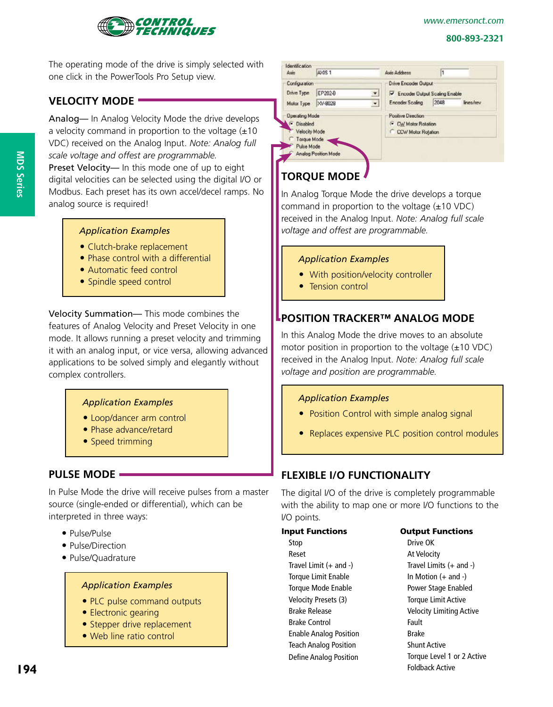



The operating mode of the drive is simply selected with one click in the PowerTools Pro Setup view.

# **Velocity Mode**

Analog— In Analog Velocity Mode the drive develops a velocity command in proportion to the voltage  $(\pm 10)$ VDC) received on the Analog Input. *Note: Analog full scale voltage and offest are programmable.*

Preset Velocity— In this mode one of up to eight digital velocities can be selected using the digital I/O or Modbus. Each preset has its own accel/decel ramps. No analog source is required!

#### *Application Examples*

- Clutch-brake replacement
- Phase control with a differential
- Automatic feed control
- Spindle speed control

Velocity Summation— This mode combines the features of Analog Velocity and Preset Velocity in one mode. It allows running a preset velocity and trimming it with an analog input, or vice versa, allowing advanced applications to be solved simply and elegantly without complex controllers.

### *Application Examples*

- Loop/dancer arm control
- Phase advance/retard
- Speed trimming

# **Pulse Mode**

In Pulse Mode the drive will receive pulses from a master source (single-ended or differential), which can be interpreted in three ways:

- Pulse/Pulse
- Pulse/Direction
- Pulse/Quadrature

#### *Application Examples*

- PLC pulse command outputs
- Electronic gearing
- Stepper drive replacement
- Web line ratio control



# **Torque Mode**

In Analog Torque Mode the drive develops a torque command in proportion to the voltage  $(\pm 10 \text{ VDC})$ received in the Analog Input. *Note: Analog full scale voltage and offest are programmable.*

### *Application Examples*

- With position/velocity controller
- Tension control

# **POSITION TRACKER™ ANALOG Mode**

In this Analog Mode the drive moves to an absolute motor position in proportion to the voltage  $(\pm 10 \text{ VDC})$ received in the Analog Input. *Note: Analog full scale voltage and position are programmable.* 

### *Application Examples*

- Position Control with simple analog signal
- Replaces expensive PLC position control modules

# **Flexible I/O Functionality**

The digital I/O of the drive is completely programmable with the ability to map one or more I/O functions to the I/O points*.*

| <b>Input Functions</b>        | <b>Output Functions</b>        |
|-------------------------------|--------------------------------|
| Stop                          | Drive OK                       |
| Reset                         | At Velocity                    |
| Travel Limit $(+$ and $-)$    | Travel Limits $(+$ and $-$     |
| Torque Limit Enable           | In Motion $(+$ and $-)$        |
| Torque Mode Enable            | Power Stage Enabled            |
| Velocity Presets (3)          | <b>Torque Limit Active</b>     |
| Brake Release                 | <b>Velocity Limiting Activ</b> |
| <b>Brake Control</b>          | Fault                          |
| <b>Enable Analog Position</b> | <b>Brake</b>                   |
| <b>Teach Analog Position</b>  | <b>Shunt Active</b>            |
| Define Analog Position        | Torque Level 1 or 2 A          |
|                               |                                |

ive OK Velocity vel Limits  $(+$  and -) Motion  $(+$  and  $-)$ wer Stage Enabled que Limit Active locity Limiting Active ult ake unt Active que Level 1 or 2 Active Foldback Active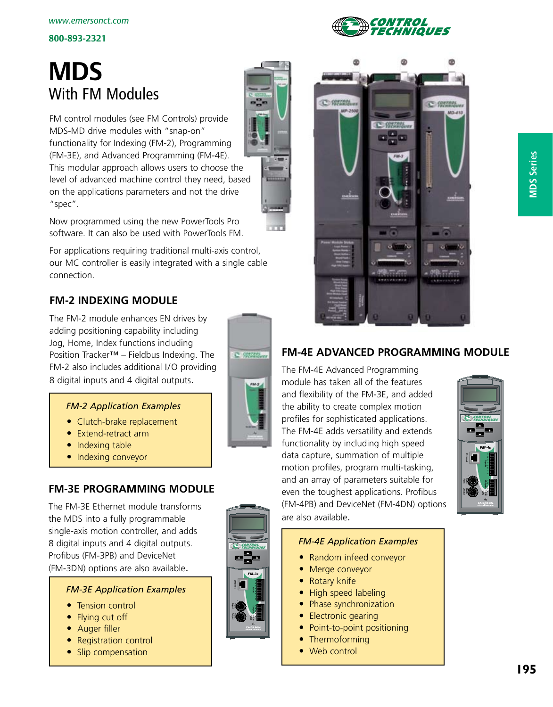# **MDS** With FM Modules

FM control modules (see FM Controls) provide MDS-MD drive modules with "snap-on" functionality for Indexing (FM-2), Programming (FM-3E), and Advanced Programming (FM-4E). This modular approach allows users to choose the level of advanced machine control they need, based on the applications parameters and not the drive "spec".

Now programmed using the new PowerTools Pro software. It can also be used with PowerTools FM.

For applications requiring traditional multi-axis control, our MC controller is easily integrated with a single cable connection.

# **FM-2 Indexing Module**

The FM-2 module enhances EN drives by adding positioning capability including Jog, Home, Index functions including Position Tracker™ – Fieldbus Indexing. The FM-2 also includes additional I/O providing 8 digital inputs and 4 digital outputs.



*FM-3<sup>E</sup>*

**VD**

**Sync. Output Ethemot Sync. By The**.

### *FM-2 Application Examples*

- Clutch-brake replacement
- Extend-retract arm
- $\bullet$  Indexing table
- Indexing conveyor

# **FM-3E Programming Module**

The FM-3E Ethernet module transforms the MDS into a fully programmable single-axis motion controller, and adds 8 digital inputs and 4 digital outputs. Profibus (FM-3PB) and DeviceNet (FM-3DN) options are also available.

### *FM-3E Application Examples*

- Tension control
- Flying cut off
- Auger filler
- Registration control
- Slip compensation



*ONTROL* 

*VIQUES* 

# **FM-4E Advanced Programming Module**

The FM-4E Advanced Programming module has taken all of the features and flexibility of the FM-3E, and added the ability to create complex motion profiles for sophisticated applications. The FM-4E adds versatility and extends functionality by including high speed data capture, summation of multiple motion profiles, program multi-tasking, and an array of parameters suitable for even the toughest applications. Profibus (FM-4PB) and DeviceNet (FM-4DN) options are also available.



### *FM-4E Application Examples*

- Random infeed conveyor
- Merge conveyor
- Rotary knife
- High speed labeling
- Phase synchronization
- Electronic gearing
- Point-to-point positioning
- Thermoforming
- Web control

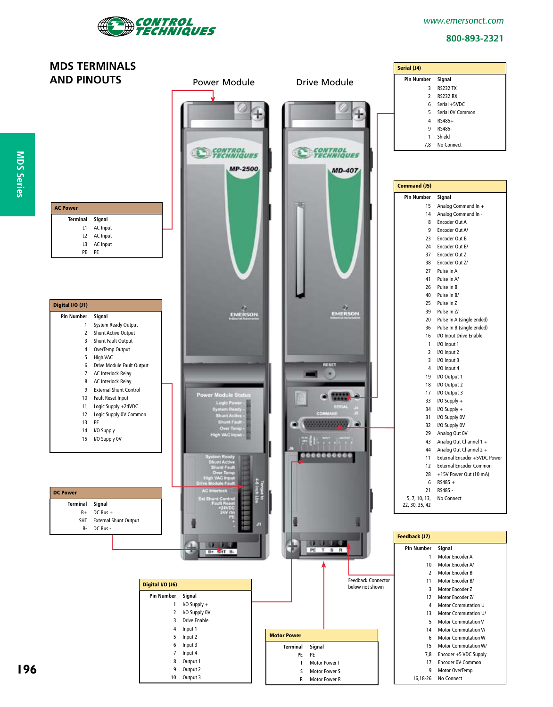

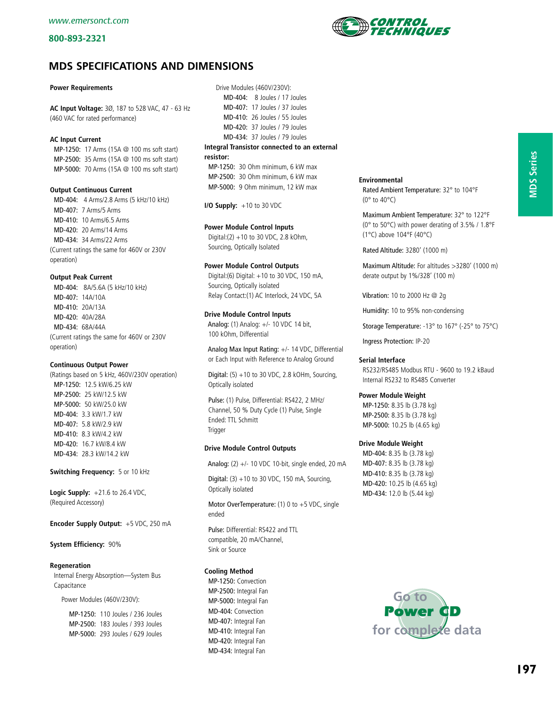

#### **Power Requirements**

**AC Input Voltage:** 3Ø, 187 to 528 VAC, 47 - 63 Hz (460 VAC for rated performance)

#### **AC Input Current**

 MP-1250: 17 Arms (15A @ 100 ms soft start) MP-2500: 35 Arms (15A @ 100 ms soft start) MP-5000: 70 Arms (15A @ 100 ms soft start)

#### **Output Continuous Current**

 MD-404: 4 Arms/2.8 Arms (5 kHz/10 kHz) MD-407: 7 Arms/5 Arms MD-410: 10 Arms/6.5 Arms MD-420: 20 Arms/14 Arms MD-434: 34 Arms/22 Arms (Current ratings the same for 460V or 230V operation)

#### **Output Peak Current**

 MD-404: 8A/5.6A (5 kHz/10 kHz) MD-407: 14A/10A MD-410: 20A/13A MD-420: 40A/28A MD-434: 68A/44A (Current ratings the same for 460V or 230V operation)

#### **Continuous Output Power**

(Ratings based on 5 kHz, 460V/230V operation) MP-1250: 12.5 kW/6.25 kW MP-2500: 25 kW/12.5 kW MP-5000: 50 kW/25.0 kW MD-404: 3.3 kW/1.7 kW MD-407: 5.8 kW/2.9 kW MD-410: 8.3 kW/4.2 kW MD-420: 16.7 kW/8.4 kW MD-434: 28.3 kW/14.2 kW

**Switching Frequency:** 5 or 10 kHz

**Logic Supply:** +21.6 to 26.4 VDC, (Required Accessory)

**Encoder Supply Output:** +5 VDC, 250 mA

#### **System Efficiency:** 90%

#### **Regeneration**

 Internal Energy Absorption—System Bus Capacitance

Power Modules (460V/230V):

 MP-1250: 110 Joules / 236 Joules MP-2500: 183 Joules / 393 Joules MP-5000: 293 Joules / 629 Joules

 Drive Modules (460V/230V): MD-404: 8 Joules / 17 Joules MD-407: 17 Joules / 37 Joules MD-410: 26 Joules / 55 Joules MD-420: 37 Joules / 79 Joules MD-434: 37 Joules / 79 Joules **Integral Transistor connected to an external resistor:**

 MP-1250: 30 Ohm minimum, 6 kW max MP-2500: 30 Ohm minimum, 6 kW max MP-5000: 9 Ohm minimum, 12 kW max

**I/O Supply:** +10 to 30 VDC

#### **Power Module Control Inputs**

 Digital:(2) +10 to 30 VDC, 2.8 kOhm, Sourcing, Optically Isolated

#### **Power Module Control Outputs**

 Digital:(6) Digital: +10 to 30 VDC, 150 mA, Sourcing, Optically isolated Relay Contact:(1) AC Interlock, 24 VDC, 5A

#### **Drive Module Control Inputs**

 Analog: (1) Analog: +/- 10 VDC 14 bit, 100 kOhm, Differential

 Analog Max Input Rating: +/- 14 VDC, Differential or Each Input with Reference to Analog Ground

Digital:  $(5) + 10$  to 30 VDC, 2.8 kOHm, Sourcing, Optically isolated

 Pulse: (1) Pulse, Differential: RS422, 2 MHz/ Channel, 50 % Duty Cycle (1) Pulse, Single Ended: TTL Schmitt **Trigger** 

#### **Drive Module Control Outputs**

Analog: (2) +/- 10 VDC 10-bit, single ended, 20 mA

Digital:  $(3) + 10$  to 30 VDC, 150 mA, Sourcing, Optically isolated

 Motor OverTemperature: (1) 0 to +5 VDC, single ended

 Pulse: Differential: RS422 and TTL compatible, 20 mA/Channel, Sink or Source

#### **Cooling Method**

 MP-1250: Convection MP-2500: Integral Fan MP-5000: Integral Fan MD-404: Convection MD-407: Integral Fan MD-410: Integral Fan MD-420: Integral Fan MD-434: Integral Fan

**Environmental**

 Rated Ambient Temperature: 32° to 104°F (0° to 40°C)

 Maximum Ambient Temperature: 32° to 122°F (0° to 50°C) with power derating of 3.5% / 1.8°F (1°C) above 104°F (40°C)

Rated Altitude: 3280' (1000 m)

 Maximum Altitude: For altitudes >3280' (1000 m) derate output by 1%/328' (100 m)

Vibration: 10 to 2000 Hz @ 2g

Humidity: 10 to 95% non-condensing

Storage Temperature: -13° to 167° (-25° to 75°C)

Ingress Protection: IP-20

#### **Serial Interface**

 RS232/RS485 Modbus RTU - 9600 to 19.2 kBaud Internal RS232 to RS485 Converter

#### **Power Module Weight**

 MP-1250: 8.35 lb (3.78 kg) MP-2500: 8.35 lb (3.78 kg) MP-5000: 10.25 lb (4.65 kg)

#### **Drive Module Weight**

 MD-404: 8.35 lb (3.78 kg) MD-407: 8.35 lb (3.78 kg) MD-410: 8.35 lb (3.78 kg) MD-420: 10.25 lb (4.65 kg) MD-434: 12.0 lb (5.44 kg)



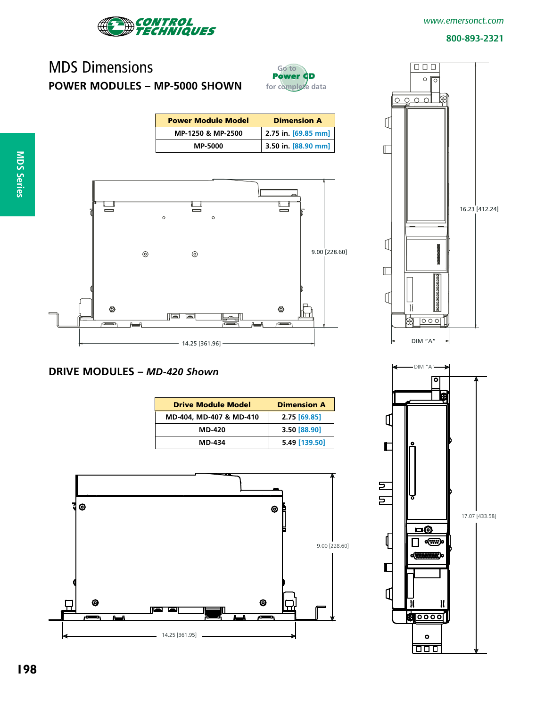

#### *www.emersonct.com*

#### **800-893-2321**

# MDS Dimensions **Power Modules – MP-5000 Shown**



| <b>Power Module Model</b> | <b>Dimension A</b>  |
|---------------------------|---------------------|
| MP-1250 & MP-2500         | 2.75 in. [69.85 mm] |
| <b>MP-5000</b>            | 3.50 in. [88.90 mm] |



### **Drive Modules –** *MD-420 Shown*

| <b>Drive Module Model</b> | <b>Dimension A</b> |
|---------------------------|--------------------|
| MD-404, MD-407 & MD-410   | 2.75 [69.85]       |
| <b>MD-420</b>             | 3.50 [88.90]       |
| <b>MD-434</b>             | 5.49 [139.50]      |





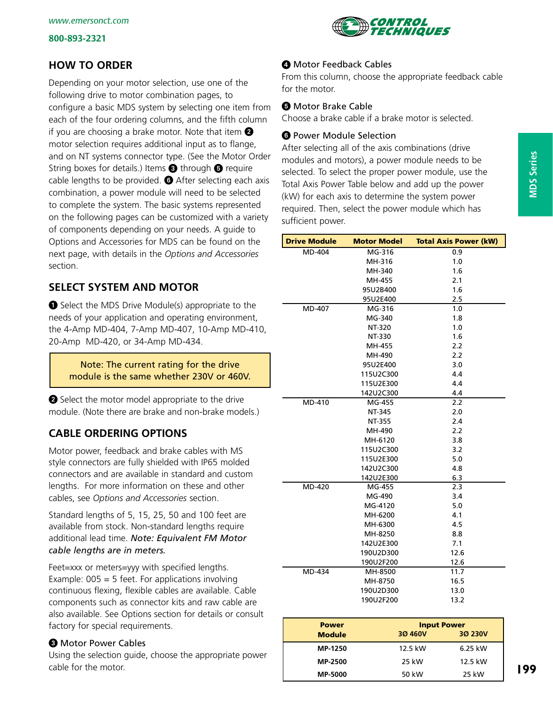

# **How to Order**

Depending on your motor selection, use one of the following drive to motor combination pages, to configure a basic MDS system by selecting one item from each of the four ordering columns, and the fifth column if you are choosing a brake motor. Note that item  $\bullet$ motor selection requires additional input as to flange, and on NT systems connector type. (See the Motor Order String boxes for details.) Items  $\Theta$  through  $\Theta$  require cable lengths to be provided.  $\bullet$  After selecting each axis combination, a power module will need to be selected to complete the system. The basic systems represented on the following pages can be customized with a variety of components depending on your needs. A guide to Options and Accessories for MDS can be found on the next page, with details in the *Options and Accessories*  section.

# **Select System and Motor**

Select the MDS Drive Module(s) appropriate to the needs of your application and operating environment, the 4-Amp MD-404, 7-Amp MD-407, 10-Amp MD-410, 20-Amp MD-420, or 34-Amp MD-434.

Note: The current rating for the drive module is the same whether 230V or 460V.

Select the motor model appropriate to the drive module. (Note there are brake and non-brake models.)

# **Cable Ordering Options**

Motor power, feedback and brake cables with MS style connectors are fully shielded with IP65 molded connectors and are available in standard and custom lengths. For more information on these and other cables, see *Options and Accessories* section.

Standard lengths of 5, 15, 25, 50 and 100 feet are available from stock. Non-standard lengths require additional lead time. *Note: Equivalent FM Motor cable lengths are in meters.*

Feet=xxx or meters=yyy with specified lengths. Example:  $005 = 5$  feet. For applications involving continuous flexing, flexible cables are available. Cable components such as connector kits and raw cable are also available. See Options section for details or consult factory for special requirements.

### **<sup>6</sup>** Motor Power Cables

Using the selection guide, choose the appropriate power cable for the motor.

From this column, choose the appropriate feedback cable for the motor.

### **O** Motor Brake Cable

Choose a brake cable if a brake motor is selected.

### **O** Power Module Selection

After selecting all of the axis combinations (drive modules and motors), a power module needs to be selected. To select the proper power module, use the Total Axis Power Table below and add up the power (kW) for each axis to determine the system power required. Then, select the power module which has sufficient power.

| <b>Drive Module</b> | <b>Motor Model</b> | <b>Total Axis Power (kW)</b> |
|---------------------|--------------------|------------------------------|
| MD-404              | MG-316             | 0.9                          |
|                     | MH-316             | 1.0                          |
|                     | MH-340             | 1.6                          |
|                     | MH-455             | 2.1                          |
|                     | 95U2B400           | 1.6                          |
|                     | 95U2E400           | 2.5                          |
| MD-407              | MG-316             | 1.0                          |
|                     | MG-340             | 1.8                          |
|                     | NT-320             | 1.0                          |
|                     | <b>NT-330</b>      | 1.6                          |
|                     | MH-455             | 2.2                          |
|                     | MH-490             | 2.2                          |
|                     | 95U2E400           | 3.0                          |
|                     | 115U2C300          | 4.4                          |
|                     | 115U2E300          | 4.4                          |
|                     | 142U2C300          | 4.4                          |
| MD-410              | MG-455             | 2.2                          |
|                     | NT-345             | 2.0                          |
|                     | NT-355             | 2.4                          |
|                     | MH-490             | 2.2                          |
|                     | MH-6120            | 3.8                          |
|                     | 115U2C300          | 3.2                          |
|                     | 115U2E300          | 5.0                          |
|                     | 142U2C300          | 4.8                          |
|                     | 142U2E300          | 6.3                          |
| MD-420              | MG-455             | 2.3                          |
|                     | MG-490             | 3.4                          |
|                     | MG-4120            | 5.0                          |
|                     | MH-6200            | 4.1                          |
|                     | MH-6300            | 4.5                          |
|                     | MH-8250            | 8.8                          |
|                     | 142U2E300          | 7.1                          |
|                     | 190U2D300          | 12.6                         |
|                     | 190U2F200          | 12.6                         |
| MD-434              | MH-8500            | 11.7                         |
|                     | MH-8750            | 16.5                         |
|                     | 190U2D300          | 13.0                         |
|                     | 190U2F200          | 13.2                         |

| <b>Power</b>   | <b>Input Power</b> |         |  |  |  |
|----------------|--------------------|---------|--|--|--|
| <b>Module</b>  | 30 460V            | 30 230V |  |  |  |
| <b>MP-1250</b> | 12.5 kW            | 6.25 kW |  |  |  |
| <b>MP-2500</b> | 25 kW              | 12.5 kW |  |  |  |
| <b>MP-5000</b> | 50 kW              | 25 kW   |  |  |  |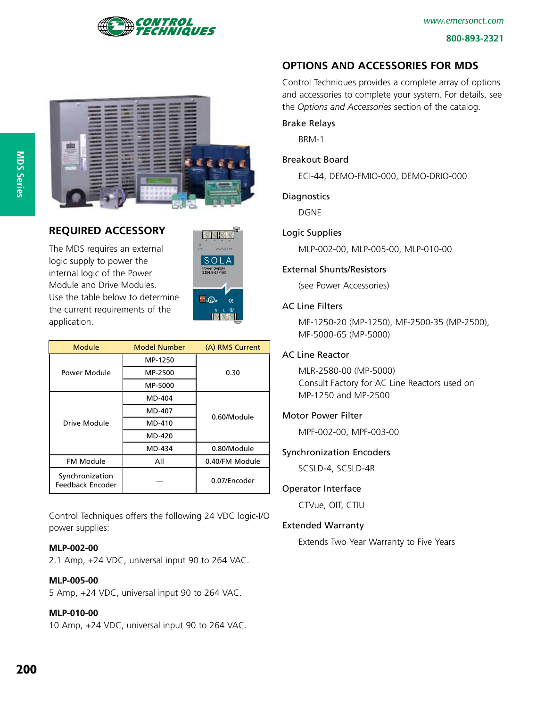





### **Required Accessory**

The MDS requires an external logic supply to power the internal logic of the Power Module and Drive Modules. Use the table below to determine the current requirements of the application.



| Module                              | <b>Model Number</b> | (A) RMS Current |
|-------------------------------------|---------------------|-----------------|
|                                     | MP-1250             |                 |
| Power Module                        | MP-2500             | 0.30            |
|                                     | MP-5000             |                 |
|                                     | MD-404              |                 |
|                                     | MD-407              | 0.60/Module     |
| Drive Module                        | MD-410              |                 |
|                                     | MD-420              |                 |
|                                     | MD-434              | 0.80/Module     |
| <b>FM Module</b>                    | All                 | 0.40/FM Module  |
| Synchronization<br>Feedback Encoder |                     | 0.07/Encoder    |

Control Techniques offers the following 24 VDC logic-I/O power supplies:

### **MLP-002-00**

2.1 Amp, +24 VDC, universal input 90 to 264 VAC.

#### **MLP-005-00**

5 Amp, +24 VDC, universal input 90 to 264 VAC.

### **MLP-010-00**

10 Amp, +24 VDC, universal input 90 to 264 VAC.

# **Options and Accessories for MDS**

Control Techniques provides a complete array of options and accessories to complete your system. For details, see the *Options and Accessories* section of the catalog.

#### Brake Relays

BRM-1

#### Breakout Board

ECI-44, DEMO-FMIO-000, DEMO-DRIO-000

#### **Diagnostics**

DGNE

#### Logic Supplies

MLP-002-00, MLP-005-00, MLP-010-00

#### External Shunts/Resistors

(see Power Accessories)

#### AC Line Filters

MF-1250-20 (MP-1250), MF-2500-35 (MP-2500), MF-5000-65 (MP-5000)

#### AC Line Reactor

MLR-2580-00 (MP-5000) Consult Factory for AC Line Reactors used on MP-1250 and MP-2500

#### Motor Power Filter

MPF-002-00, MPF-003-00

### Synchronization Encoders

SCSLD-4, SCSLD-4R

#### Operator Interface

CTVue, OIT, CTIU

### Extended Warranty

Extends Two Year Warranty to Five Years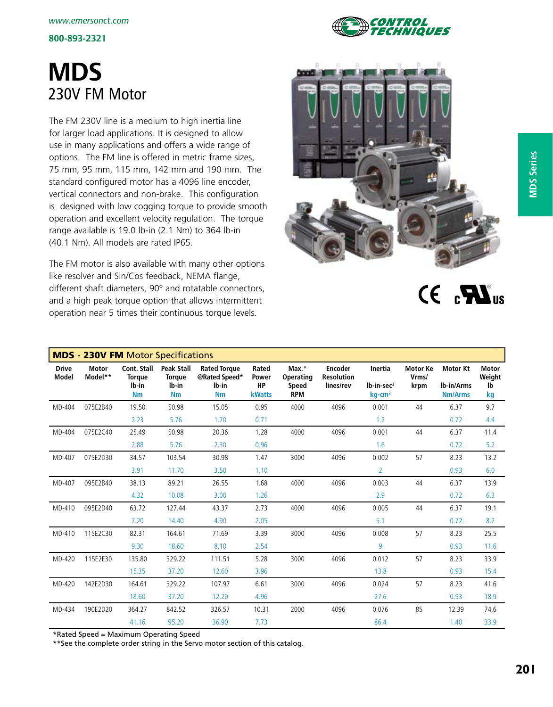# **MDS** 230V FM Motor

The FM 230V line is a medium to high inertia line for larger load applications. It is designed to allow use in many applications and offers a wide range of options. The FM line is offered in metric frame sizes, 75 mm, 95 mm, 115 mm, 142 mm and 190 mm. The standard configured motor has a 4096 line encoder, vertical connectors and non-brake. This configuration is designed with low cogging torque to provide smooth operation and excellent velocity regulation. The torque range available is 19.0 lb-in (2.1 Nm) to 364 lb-in (40.1 Nm). All models are rated IP65.

The FM motor is also available with many other options like resolver and Sin/Cos feedback, NEMA flange, different shaft diameters, 90º and rotatable connectors, and a high peak torque option that allows intermittent operation near 5 times their continuous torque levels.



 $CF<sub>a</sub> M<sub>us</sub>$ 

|                              | <b>MDS - 230V FM Motor Specifications</b> |                                                           |                                                          |                                                            |                                       |                                           |                                                  |                                                  |                                  |                                                 |                                    |
|------------------------------|-------------------------------------------|-----------------------------------------------------------|----------------------------------------------------------|------------------------------------------------------------|---------------------------------------|-------------------------------------------|--------------------------------------------------|--------------------------------------------------|----------------------------------|-------------------------------------------------|------------------------------------|
| <b>Drive</b><br><b>Model</b> | <b>Motor</b><br>Model**                   | <b>Cont. Stall</b><br><b>Torque</b><br>lb-in<br><b>Nm</b> | <b>Peak Stall</b><br><b>Torque</b><br>lb-in<br><b>Nm</b> | <b>Rated Torque</b><br>@Rated Speed*<br>lb-in<br><b>Nm</b> | Rated<br>Power<br>HP<br><b>kWatts</b> | Max.*<br>Operating<br>Speed<br><b>RPM</b> | <b>Encoder</b><br><b>Resolution</b><br>lines/rev | Inertia<br>$Ib-in-sec2$<br>$kq$ -cm <sup>2</sup> | <b>Motor Ke</b><br>Vrms/<br>krpm | <b>Motor Kt</b><br>Ib-in/Arms<br><b>Nm/Arms</b> | <b>Motor</b><br>Weight<br>lb<br>kg |
| MD-404                       | 075E2B40                                  | 19.50                                                     | 50.98                                                    | 15.05                                                      | 0.95                                  | 4000                                      | 4096                                             | 0.001                                            | 44                               | 6.37                                            | 9.7                                |
|                              |                                           | 2.23                                                      | 5.76                                                     | 1.70                                                       | 0.71                                  |                                           |                                                  | 1.2                                              |                                  | 0.72                                            | 4.4                                |
| MD-404                       | 075E2C40                                  | 25.49                                                     | 50.98                                                    | 20.36                                                      | 1.28                                  | 4000                                      | 4096                                             | 0.001                                            | 44                               | 6.37                                            | 11.4                               |
|                              |                                           | 2.88                                                      | 5.76                                                     | 2.30                                                       | 0.96                                  |                                           |                                                  | 1.6                                              |                                  | 0.72                                            | $5.2$                              |
| MD-407                       | 075E2D30                                  | 34.57                                                     | 103.54                                                   | 30.98                                                      | 1.47                                  | 3000                                      | 4096                                             | 0.002                                            | 57                               | 8.23                                            | 13.2                               |
|                              |                                           | 3.91                                                      | 11.70                                                    | 3.50                                                       | 1.10                                  |                                           |                                                  | $\overline{2}$                                   |                                  | 0.93                                            | 6.0                                |
| MD-407                       | 095E2B40                                  | 38.13                                                     | 89.21                                                    | 26.55                                                      | 1.68                                  | 4000                                      | 4096                                             | 0.003                                            | 44                               | 6.37                                            | 13.9                               |
|                              |                                           | 4.32                                                      | 10.08                                                    | 3.00                                                       | 1.26                                  |                                           |                                                  | 2.9                                              |                                  | 0.72                                            | 6.3                                |
| MD-410                       | 095E2D40                                  | 63.72                                                     | 127.44                                                   | 43.37                                                      | 2.73                                  | 4000                                      | 4096                                             | 0.005                                            | 44                               | 6.37                                            | 19.1                               |
|                              |                                           | 7.20                                                      | 14.40                                                    | 4.90                                                       | 2.05                                  |                                           |                                                  | 5.1                                              |                                  | 0.72                                            | 8.7                                |
| MD-410                       | 115E2C30                                  | 82.31                                                     | 164.61                                                   | 71.69                                                      | 3.39                                  | 3000                                      | 4096                                             | 0.008                                            | 57                               | 8.23                                            | 25.5                               |
|                              |                                           | 9.30                                                      | 18.60                                                    | 8.10                                                       | 2.54                                  |                                           |                                                  | 9                                                |                                  | 0.93                                            | 11.6                               |
| MD-420                       | 115E2E30                                  | 135.80                                                    | 329.22                                                   | 111.51                                                     | 5.28                                  | 3000                                      | 4096                                             | 0.012                                            | 57                               | 8.23                                            | 33.9                               |
|                              |                                           | 15.35                                                     | 37.20                                                    | 12.60                                                      | 3.96                                  |                                           |                                                  | 13.8                                             |                                  | 0.93                                            | 15.4                               |
| MD-420                       | 142E2D30                                  | 164.61                                                    | 329.22                                                   | 107.97                                                     | 6.61                                  | 3000                                      | 4096                                             | 0.024                                            | 57                               | 8.23                                            | 41.6                               |
|                              |                                           | 18.60                                                     | 37.20                                                    | 12.20                                                      | 4.96                                  |                                           |                                                  | 27.6                                             |                                  | 0.93                                            | 18.9                               |
| MD-434                       | 190E2D20                                  | 364.27                                                    | 842.52                                                   | 326.57                                                     | 10.31                                 | 2000                                      | 4096                                             | 0.076                                            | 85                               | 12.39                                           | 74.6                               |
|                              |                                           | 41.16                                                     | 95.20                                                    | 36.90                                                      | 7.73                                  |                                           |                                                  | 86.4                                             |                                  | 1.40                                            | 33.9                               |

\*Rated Speed = Maximum Operating Speed

\*\*See the complete order string in the Servo motor section of this catalog.

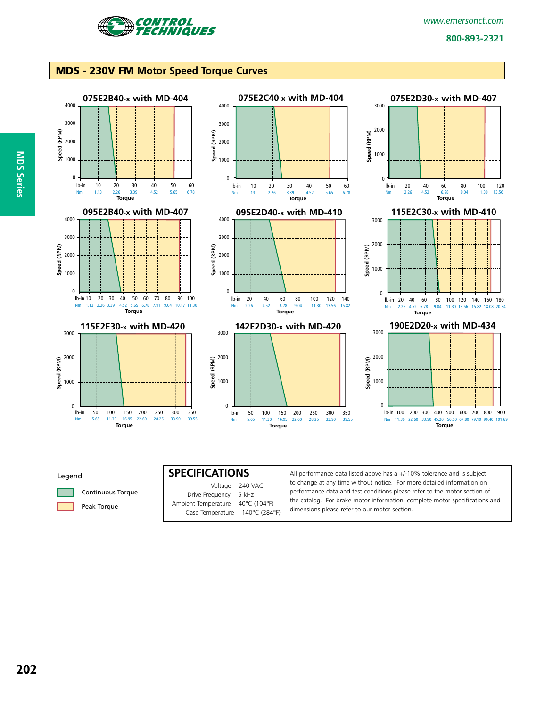

#### MDS - 230V FM **Motor Speed Torque Curves**



#### Legend



|                     | Voltage 240 VAC |
|---------------------|-----------------|
| Drive Frequency     | 5 kHz           |
| Ambient Temperature | 40°C (104°F)    |
| Case Temperature    | 140°C (284°F)   |

**SPECIFICATIONS** All performance data listed above has a +/-10% tolerance and is subject to change at any time without notice. For more detailed information on performance data and test conditions please refer to the motor section of the catalog. For brake motor information, complete motor specifications and dimensions please refer to our motor section.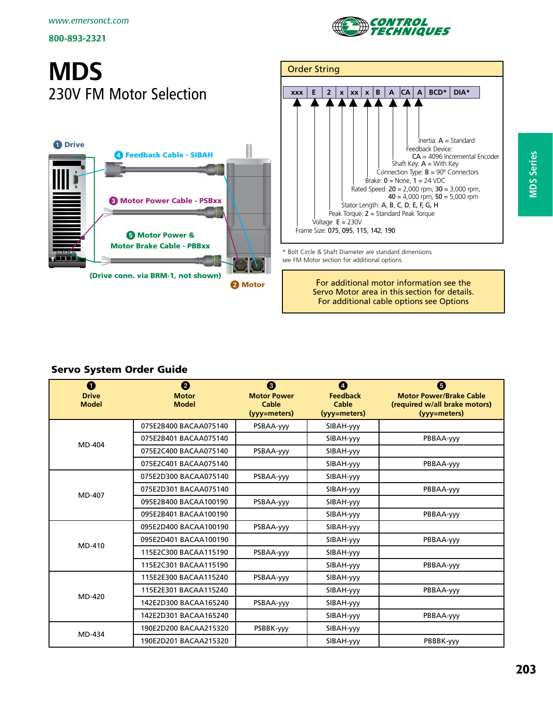

# **MDS** 230V FM Motor Selection





\* Bolt Circle & Shaft Diameter are standard dimensions see FM Motor section for additional options.

> For additional motor information see the Servo Motor area in this section for details. For additional cable options see Options

### Servo System Order Guide

| $\mathbf 0$<br><b>Drive</b><br><b>Model</b> | 2<br><b>Motor</b><br><b>Model</b> | ❸<br><b>Motor Power</b><br>Cable<br>(yyy=meters) | $\boldsymbol{O}$<br><b>Feedback</b><br>Cable<br>(yyy=meters) | ❺<br><b>Motor Power/Brake Cable</b><br>(required w/all brake motors)<br>(yyy=meters) |
|---------------------------------------------|-----------------------------------|--------------------------------------------------|--------------------------------------------------------------|--------------------------------------------------------------------------------------|
|                                             | 075E2B400 BACAA075140             | PSBAA-yyy                                        | SIBAH-yyy                                                    |                                                                                      |
| MD-404                                      | 075E2B401 BACAA075140             |                                                  | SIBAH-yyy                                                    | PBBAA-yyy                                                                            |
|                                             | 075E2C400 BACAA075140             | PSBAA-yyy                                        | SIBAH-yyy                                                    |                                                                                      |
|                                             | 075E2C401 BACAA075140             |                                                  | SIBAH-yyy                                                    | PBBAA-yyy                                                                            |
|                                             | 075E2D300 BACAA075140             | PSBAA-yyy                                        | SIBAH-yyy                                                    |                                                                                      |
|                                             | 075E2D301 BACAA075140             |                                                  | SIBAH-yyy                                                    | PBBAA-yyy                                                                            |
| MD-407                                      | 095E2B400 BACAA100190             | PSBAA-yyy                                        | SIBAH-yyy                                                    |                                                                                      |
|                                             | 095E2B401 BACAA100190             |                                                  | SIBAH-yyy                                                    | PBBAA-yyy                                                                            |
|                                             | 095E2D400 BACAA100190             | PSBAA-yyy                                        | SIBAH-yyy                                                    |                                                                                      |
| MD-410                                      | 095E2D401 BACAA100190             |                                                  | SIBAH-yyy                                                    | PBBAA-yyy                                                                            |
|                                             | 115E2C300 BACAA115190             | PSBAA-yyy                                        | SIBAH-yyy                                                    |                                                                                      |
|                                             | 115E2C301 BACAA115190             |                                                  | SIBAH-yyy                                                    | PBBAA-yyy                                                                            |
|                                             | 115E2E300 BACAA115240             | PSBAA-yyy                                        | SIBAH-yyy                                                    |                                                                                      |
|                                             | 115E2E301 BACAA115240             |                                                  | SIBAH-yyy                                                    | PBBAA-yyy                                                                            |
| MD-420                                      | 142E2D300 BACAA165240             | PSBAA-yyy                                        | SIBAH-yyy                                                    |                                                                                      |
|                                             | 142E2D301 BACAA165240             |                                                  | SIBAH-yyy                                                    | PBBAA-yyy                                                                            |
|                                             | 190E2D200 BACAA215320             | PSBBK-yyy                                        | SIBAH-yyy                                                    |                                                                                      |
| MD-434                                      | 190E2D201 BACAA215320             |                                                  | SIBAH-yyy                                                    | PBBBK-yyy                                                                            |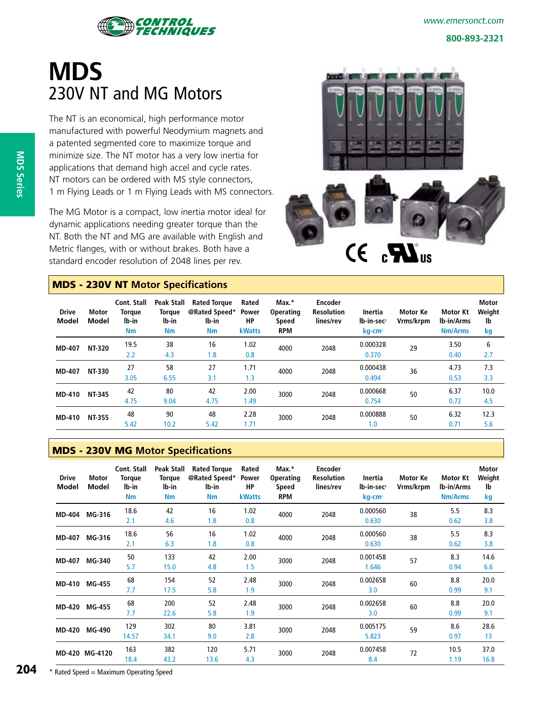

*www.emersonct.com*

#### **800-893-2321**

# **MDS** 230V NT and MG Motors

The NT is an economical, high performance motor manufactured with powerful Neodymium magnets and a patented segmented core to maximize torque and minimize size. The NT motor has a very low inertia for applications that demand high accel and cycle rates. NT motors can be ordered with MS style connectors, 1 m Flying Leads or 1 m Flying Leads with MS connectors.

The MG Motor is a compact, low inertia motor ideal for dynamic applications needing greater torque than the NT. Both the NT and MG are available with English and Metric flanges, with or without brakes. Both have a standard encoder resolution of 2048 lines per rev.

### MDS - 230V NT **Motor Specifications**



| <b>Drive</b><br><b>Model</b> | Motor<br>Model | <b>Cont. Stall</b><br><b>Torque</b><br>lb-in<br><b>Nm</b> | Peak Stall<br><b>Torque</b><br>lb-in<br><b>Nm</b> | <b>Rated Torque</b><br>@Rated Speed*<br>lb-in<br><b>Nm</b> | Rated<br><b>Power</b><br>HP<br><b>kWatts</b> | Max.*<br><b>Operating</b><br><b>Speed</b><br><b>RPM</b> | Encoder<br><b>Resolution</b><br>lines/rev | Inertia<br>lb-in-sec<br>kg-cm <sup>2</sup> | <b>Motor Ke</b><br>Vrms/krpm | <b>Motor Kt</b><br>Ib-in/Arms<br><b>Nm/Arms</b> | Motor<br>Weight<br>lb<br>kg |
|------------------------------|----------------|-----------------------------------------------------------|---------------------------------------------------|------------------------------------------------------------|----------------------------------------------|---------------------------------------------------------|-------------------------------------------|--------------------------------------------|------------------------------|-------------------------------------------------|-----------------------------|
| <b>MD-407</b>                | <b>NT-320</b>  | 19.5<br>2.2                                               | 38<br>4.3                                         | 16<br>1.8                                                  | 1.02<br>0.8                                  | 4000                                                    | 2048                                      | 0.000328<br>0.370                          | 29                           | 3.50<br>0.40                                    | 6<br>2.7                    |
| <b>MD-407</b>                | <b>NT-330</b>  | 27<br>3.05                                                | 58<br>6.55                                        | 27<br>3.1                                                  | 1.71<br>1.3                                  | 4000                                                    | 2048                                      | 0.000438<br>0.494                          | 36                           | 4.73<br>0.53                                    | 7.3<br>3.3                  |
| <b>MD-410</b>                | <b>NT-345</b>  | 42<br>4.75                                                | 80<br>9.04                                        | 42<br>4.75                                                 | 2.00<br>1.49                                 | 3000                                                    | 2048                                      | 0.000668<br>0.754                          | 50                           | 6.37<br>0.72                                    | 10.0<br>4.5                 |
| <b>MD-410</b>                | <b>NT-355</b>  | 48<br>5.42                                                | 90<br>10.2                                        | 48<br>5.42                                                 | 2.28<br>1.71                                 | 3000                                                    | 2048                                      | 0.000888<br>1.0                            | 50                           | 6.32<br>0.71                                    | 12.3<br>5.6                 |

### MDS - 230V MG **Motor Specifications**

| <b>Drive</b><br>Model | Motor<br>Model | Cont. Stall<br><b>Torque</b><br>lb-in<br>Nm | Peak Stall<br><b>Torque</b><br>lb-in<br>Nm | <b>Rated Torque</b><br>@Rated Speed*<br>lb-in<br><b>Nm</b> | Rated<br>Power<br>HP<br><b>kWatts</b> | Max.*<br><b>Operating</b><br>Speed<br><b>RPM</b> | <b>Encoder</b><br><b>Resolution</b><br>lines/rev | Inertia<br>lb-in-sec <sup>2</sup><br>kg-cm <sup>2</sup> | Motor Ke<br>Vrms/krpm | <b>Motor Kt</b><br><b>Ib-in/Arms</b><br><b>Nm/Arms</b> | <b>Motor</b><br>Weight<br>lb<br>kg |
|-----------------------|----------------|---------------------------------------------|--------------------------------------------|------------------------------------------------------------|---------------------------------------|--------------------------------------------------|--------------------------------------------------|---------------------------------------------------------|-----------------------|--------------------------------------------------------|------------------------------------|
| <b>MD-404</b>         | MG-316         | 18.6<br>2.1                                 | 42<br>4.6                                  | 16<br>1.8                                                  | 1.02<br>0.8                           | 4000                                             | 2048                                             | 0.000560<br>0.630                                       | 38                    | 5.5<br>0.62                                            | 8.3<br>3.8                         |
| <b>MD-407</b>         | MG-316         | 18.6<br>2.1                                 | 56<br>6.3                                  | 16<br>1.8                                                  | 1.02<br>0.8                           | 4000                                             | 2048                                             | 0.000560<br>0.630                                       | 38                    | 5.5<br>0.62                                            | 8.3<br>3.8                         |
| <b>MD-407</b>         | MG-340         | 50<br>5.7                                   | 133<br>15.0                                | 42<br>4.8                                                  | 2.00<br>1.5                           | 3000                                             | 2048                                             | 0.001458<br>1.646                                       | 57                    | 8.3<br>0.94                                            | 14.6<br>6.6                        |
| <b>MD-410</b>         | MG-455         | 68<br>7.7                                   | 154<br>17.5                                | 52<br>5.8                                                  | 2.48<br>1.9                           | 3000                                             | 2048                                             | 0.002658<br>3.0                                         | 60                    | 8.8<br>0.99                                            | 20.0<br>9.1                        |
| <b>MD-420</b>         | MG-455         | 68<br>7.7                                   | 200<br>22.6                                | 52<br>5.8                                                  | 2.48<br>1.9                           | 3000                                             | 2048                                             | 0.002658<br>3.0                                         | 60                    | 8.8<br>0.99                                            | 20.0<br>9.1                        |
| <b>MD-420</b>         | MG-490         | 129<br>14.57                                | 302<br>34.1                                | 80<br>9.0                                                  | 3.81<br>2.8                           | 3000                                             | 2048                                             | 0.005175<br>5.823                                       | 59                    | 8.6<br>0.97                                            | 28.6<br>13                         |
|                       | MD-420 MG-4120 | 163<br>18.4                                 | 382<br>43.2                                | 120<br>13.6                                                | 5.71<br>4.3                           | 3000                                             | 2048                                             | 0.007458<br>8.4                                         | 72                    | 10.5<br>1.19                                           | 37.0<br>16.8                       |

**204** \* Rated Speed = Maximum Operating Speed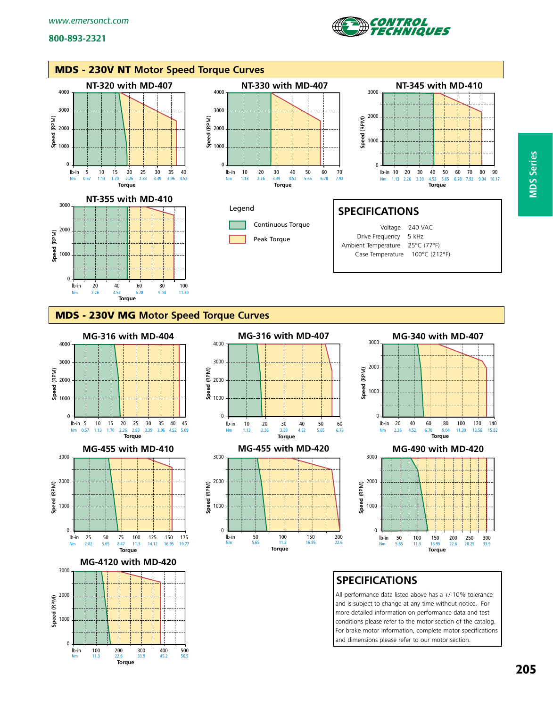$\overline{0}$ 

lb-in 100 200 300 400 500 Nm 11.3 22.6 33.9 45.2 56.5 **Torque**





and dimensions please refer to our motor section.

**MDS Series**

**MDS Series**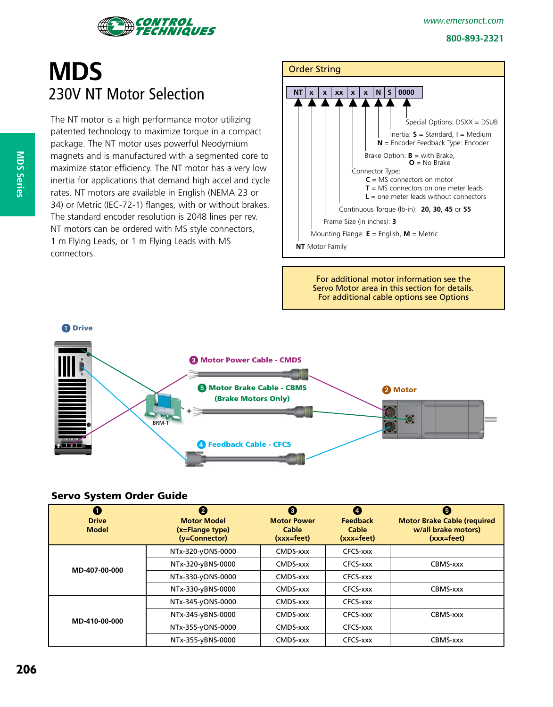



# **MDS** 230V NT Motor Selection

The NT motor is a high performance motor utilizing patented technology to maximize torque in a compact package. The NT motor uses powerful Neodymium magnets and is manufactured with a segmented core to maximize stator efficiency. The NT motor has a very low inertia for applications that demand high accel and cycle rates. NT motors are available in English (NEMA 23 or 34) or Metric (IEC-72-1) flanges, with or without brakes. The standard encoder resolution is 2048 lines per rev. NT motors can be ordered with MS style connectors, 1 m Flying Leads, or 1 m Flying Leads with MS connectors.

# Order String **NT**  $x | x | x x | x x | x | x | 0000$  Special Options: DSXX = DSUB Inertia: **S** = Standard, I = Medium **N** = Encoder Feedback Type: Encoder Brake Option:  $B =$  with Brake, **O** = No Brake Connector Type: **C** = MS connectors on motor **T** = MS connectors on one meter leads **L** = one meter leads without connectors Continuous Torque (lb-in): **20**, **30**, **45** or **55** Frame Size (in inches): **3** Mounting Flange: **E** = English, **M** = Metric **NT** Motor Family

For additional motor information see the Servo Motor area in this section for details. For additional cable options see Options



### Servo System Order Guide

| Œ<br><b>Drive</b><br><b>Model</b> | 2<br><b>Motor Model</b><br>(x=Flange type)<br>(y=Connector) | ❸<br><b>Motor Power</b><br>Cable<br>$(xxx = feet)$ | $\overline{a}$<br><b>Feedback</b><br>Cable<br>$(xxx = feet)$ | G<br><b>Motor Brake Cable (required)</b><br>w/all brake motors)<br>$(xxx = feet)$ |
|-----------------------------------|-------------------------------------------------------------|----------------------------------------------------|--------------------------------------------------------------|-----------------------------------------------------------------------------------|
|                                   | NTx-320-yONS-0000                                           | CMDS-xxx                                           | CFCS-xxx                                                     |                                                                                   |
| MD-407-00-000                     | NTx-320-yBNS-0000                                           | CMDS-xxx                                           | CFCS-xxx                                                     | CBMS-xxx                                                                          |
|                                   | NTx-330-yONS-0000                                           | CMDS-xxx                                           | CFCS-xxx                                                     |                                                                                   |
|                                   | NTx-330-yBNS-0000                                           | CMDS-xxx                                           | CFCS-xxx                                                     | CBMS-xxx                                                                          |
|                                   | NTx-345-yONS-0000                                           | CMDS-xxx                                           | CFCS-xxx                                                     |                                                                                   |
| MD-410-00-000                     | NTx-345-yBNS-0000                                           | CMDS-xxx                                           | CFCS-xxx                                                     | CBMS-xxx                                                                          |
|                                   | NTx-355-yONS-0000                                           | CMDS-xxx                                           | CFCS-xxx                                                     |                                                                                   |
|                                   | NTx-355-yBNS-0000                                           | CMDS-xxx                                           | CFCS-xxx                                                     | CBMS-xxx                                                                          |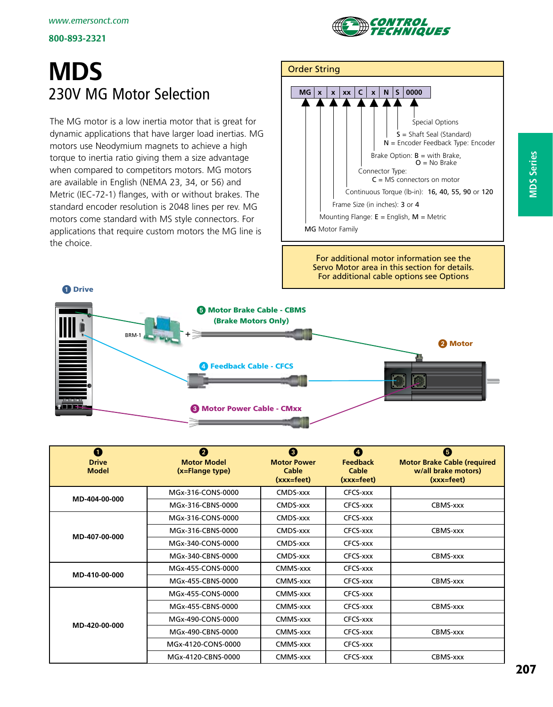

# **MDS** 230V MG Motor Selection

The MG motor is a low inertia motor that is great for dynamic applications that have larger load inertias. MG motors use Neodymium magnets to achieve a high torque to inertia ratio giving them a size advantage when compared to competitors motors. MG motors are available in English (NEMA 23, 34, or 56) and Metric (IEC-72-1) flanges, with or without brakes. The standard encoder resolution is 2048 lines per rev. MG motors come standard with MS style connectors. For applications that require custom motors the MG line is the choice.



For additional motor information see the Servo Motor area in this section for details. For additional cable options see Options



| $\bf o$<br><b>Drive</b><br><b>Model</b> | 0<br><b>Motor Model</b><br>(x=Flange type) | ❸<br><b>Motor Power</b><br>Cable<br>$(xxx = feet)$ | Ø<br><b>Feedback</b><br>Cable<br>$(xx^{\text{right}})$ | ❺<br><b>Motor Brake Cable (required</b><br>w/all brake motors)<br>$(xxx = feet)$ |
|-----------------------------------------|--------------------------------------------|----------------------------------------------------|--------------------------------------------------------|----------------------------------------------------------------------------------|
| MD-404-00-000                           | MGx-316-CONS-0000                          | CMDS-xxx                                           | CFCS-xxx                                               |                                                                                  |
|                                         | MGx-316-CBNS-0000                          | CMDS-xxx                                           | CFCS-xxx                                               | CBMS-xxx                                                                         |
|                                         | MGx-316-CONS-0000                          | CMDS-xxx                                           | CFCS-xxx                                               |                                                                                  |
|                                         | MGx-316-CBNS-0000                          | CMDS-xxx                                           | CFCS-xxx                                               | CBMS-xxx                                                                         |
| MD-407-00-000                           | MGx-340-CONS-0000                          | CMDS-xxx                                           | CFCS-xxx                                               |                                                                                  |
|                                         | MGx-340-CBNS-0000                          | CMDS-xxx                                           | CFCS-xxx                                               | CBMS-xxx                                                                         |
| MD-410-00-000                           | MGx-455-CONS-0000                          | CMMS-xxx                                           | CFCS-xxx                                               |                                                                                  |
|                                         | MGx-455-CBNS-0000                          | CMMS-xxx                                           | CFCS-xxx                                               | CBMS-xxx                                                                         |
|                                         | MGx-455-CONS-0000                          | CMMS-xxx                                           | CFCS-xxx                                               |                                                                                  |
|                                         | MGx-455-CBNS-0000                          | CMMS-xxx                                           | CFCS-xxx                                               | CBMS-xxx                                                                         |
| MD-420-00-000                           | MGx-490-CONS-0000                          | CMMS-xxx                                           | CFCS-xxx                                               |                                                                                  |
|                                         | MGx-490-CBNS-0000                          | CMMS-xxx                                           | CFCS-xxx                                               | CBMS-xxx                                                                         |
|                                         | MGx-4120-CONS-0000                         | CMMS-xxx                                           | CFCS-xxx                                               |                                                                                  |
|                                         | MGx-4120-CBNS-0000                         | CMMS-xxx                                           | CFCS-xxx                                               | CBMS-xxx                                                                         |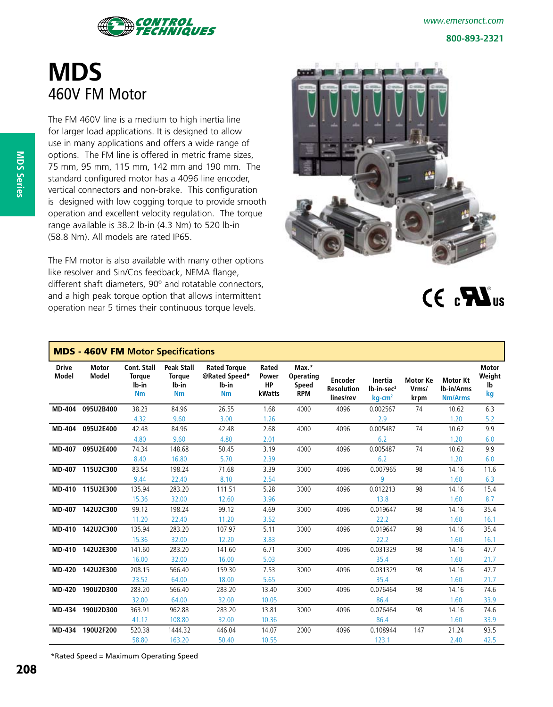

# **MDS** 460V FM Motor

The FM 460V line is a medium to high inertia line for larger load applications. It is designed to allow use in many applications and offers a wide range of options. The FM line is offered in metric frame sizes, 75 mm, 95 mm, 115 mm, 142 mm and 190 mm. The standard configured motor has a 4096 line encoder, vertical connectors and non-brake. This configuration is designed with low cogging torque to provide smooth operation and excellent velocity regulation. The torque range available is 38.2 lb-in (4.3 Nm) to 520 lb-in (58.8 Nm). All models are rated IP65.

The FM motor is also available with many other options like resolver and Sin/Cos feedback, NEMA flange, different shaft diameters, 90º and rotatable connectors, and a high peak torque option that allows intermittent operation near 5 times their continuous torque levels.



 $CE<sub>c</sub> W<sub>us</sub>$ 

| <b>MDS - 460V FM Motor Specifications</b> |                       |                                                    |                                                          |                                                            |                                              |                                                  |                                                  |                                                            |                                  |                                                 |                                    |
|-------------------------------------------|-----------------------|----------------------------------------------------|----------------------------------------------------------|------------------------------------------------------------|----------------------------------------------|--------------------------------------------------|--------------------------------------------------|------------------------------------------------------------|----------------------------------|-------------------------------------------------|------------------------------------|
| <b>Drive</b><br><b>Model</b>              | Motor<br><b>Model</b> | Cont. Stall<br><b>Torque</b><br>lb-in<br><b>Nm</b> | <b>Peak Stall</b><br><b>Torque</b><br>lb-in<br><b>Nm</b> | <b>Rated Torque</b><br>@Rated Speed*<br>Ib-in<br><b>Nm</b> | Rated<br><b>Power</b><br><b>HP</b><br>kWatts | Max.*<br>Operating<br><b>Speed</b><br><b>RPM</b> | <b>Encoder</b><br><b>Resolution</b><br>lines/rev | Inertia<br>lb-in-sec <sup>2</sup><br>$kg$ -cm <sup>2</sup> | <b>Motor Ke</b><br>Vrms/<br>krpm | <b>Motor Kt</b><br>Ib-in/Arms<br><b>Nm/Arms</b> | <b>Motor</b><br>Weight<br>lb<br>kg |
| <b>MD-404</b>                             | 095U2B400             | 38.23                                              | 84.96                                                    | 26.55                                                      | 1.68                                         | 4000                                             | 4096                                             | 0.002567                                                   | 74                               | 10.62                                           | 6.3                                |
|                                           |                       | 4.32                                               | 9.60                                                     | 3.00                                                       | 1.26                                         |                                                  |                                                  | 2.9                                                        |                                  | 1.20                                            | 5.2                                |
| <b>MD-404</b>                             | 095U2E400             | 42.48                                              | 84.96                                                    | 42.48                                                      | 2.68                                         | 4000                                             | 4096                                             | 0.005487                                                   | 74                               | 10.62                                           | 9.9                                |
|                                           |                       | 4.80                                               | 9.60                                                     | 4.80                                                       | 2.01                                         |                                                  |                                                  | 6.2                                                        |                                  | 1.20                                            | 6.0                                |
| <b>MD-407</b>                             | 095U2E400             | 74.34                                              | 148.68                                                   | 50.45                                                      | 3.19                                         | 4000                                             | 4096                                             | 0.005487                                                   | 74                               | 10.62                                           | 9.9                                |
|                                           |                       | 8.40                                               | 16.80                                                    | 5.70                                                       | 2.39                                         |                                                  |                                                  | 6.2                                                        |                                  | 1.20                                            | 6.0                                |
| <b>MD-407</b>                             | 115U2C300             | 83.54                                              | 198.24                                                   | 71.68                                                      | 3.39                                         | 3000                                             | 4096                                             | 0.007965                                                   | 98                               | 14.16                                           | 11.6                               |
|                                           |                       | 9.44                                               | 22.40                                                    | 8.10                                                       | 2.54                                         |                                                  |                                                  | 9                                                          |                                  | 1.60                                            | 6.3                                |
| <b>MD-410</b>                             | 115U2E300             | 135.94                                             | 283.20                                                   | 111.51                                                     | 5.28                                         | 3000                                             | 4096                                             | 0.012213                                                   | 98                               | 14.16                                           | 15.4                               |
|                                           |                       | 15.36                                              | 32.00                                                    | 12.60                                                      | 3.96                                         |                                                  |                                                  | 13.8                                                       |                                  | 1.60                                            | 8.7                                |
| <b>MD-407</b>                             | 142U2C300             | 99.12                                              | 198.24                                                   | 99.12                                                      | 4.69                                         | 3000                                             | 4096                                             | 0.019647                                                   | 98                               | 14.16                                           | 35.4                               |
|                                           |                       | 11.20                                              | 22.40                                                    | 11.20                                                      | 3.52                                         |                                                  |                                                  | 22.2                                                       |                                  | 1.60                                            | 16.1                               |
| <b>MD-410</b>                             | 142U2C300             | 135.94                                             | 283.20                                                   | 107.97                                                     | 5.11                                         | 3000                                             | 4096                                             | 0.019647                                                   | 98                               | 14.16                                           | 35.4                               |
|                                           |                       | 15.36                                              | 32.00                                                    | 12.20                                                      | 3.83                                         |                                                  |                                                  | 22.2                                                       |                                  | 1.60                                            | 16.1                               |
| <b>MD-410</b>                             | 142U2E300             | 141.60                                             | 283.20                                                   | 141.60                                                     | 6.71                                         | 3000                                             | 4096                                             | 0.031329                                                   | 98                               | 14.16                                           | 47.7                               |
|                                           |                       | 16.00                                              | 32.00                                                    | 16.00                                                      | 5.03                                         |                                                  |                                                  | 35.4                                                       |                                  | 1.60                                            | 21.7                               |
| <b>MD-420</b>                             | 142U2E300             | 208.15                                             | 566.40                                                   | 159.30                                                     | 7.53                                         | 3000                                             | 4096                                             | 0.031329                                                   | 98                               | 14.16                                           | 47.7                               |
|                                           |                       | 23.52                                              | 64.00                                                    | 18.00                                                      | 5.65                                         |                                                  |                                                  | 35.4                                                       |                                  | 1.60                                            | 21.7                               |
| <b>MD-420</b>                             | 190U2D300             | 283.20                                             | 566.40                                                   | 283.20                                                     | 13.40                                        | 3000                                             | 4096                                             | 0.076464                                                   | 98                               | 14.16                                           | 74.6                               |
|                                           |                       | 32.00                                              | 64.00                                                    | 32.00                                                      | 10.05                                        |                                                  |                                                  | 86.4                                                       |                                  | 1.60                                            | 33.9                               |
| <b>MD-434</b>                             | 190U2D300             | 363.91                                             | 962.88                                                   | 283.20                                                     | 13.81                                        | 3000                                             | 4096                                             | 0.076464                                                   | 98                               | 14.16                                           | 74.6                               |
|                                           |                       | 41.12                                              | 108.80                                                   | 32.00                                                      | 10.36                                        |                                                  |                                                  | 86.4                                                       |                                  | 1.60                                            | 33.9                               |
| <b>MD-434</b>                             | 190U2F200             | 520.38                                             | 1444.32                                                  | 446.04                                                     | 14.07                                        | 2000                                             | 4096                                             | 0.108944                                                   | 147                              | 21.24                                           | 93.5                               |
|                                           |                       | 58.80                                              | 163.20                                                   | 50.40                                                      | 10.55                                        |                                                  |                                                  | 123.1                                                      |                                  | 2.40                                            | 42.5                               |

\*Rated Speed = Maximum Operating Speed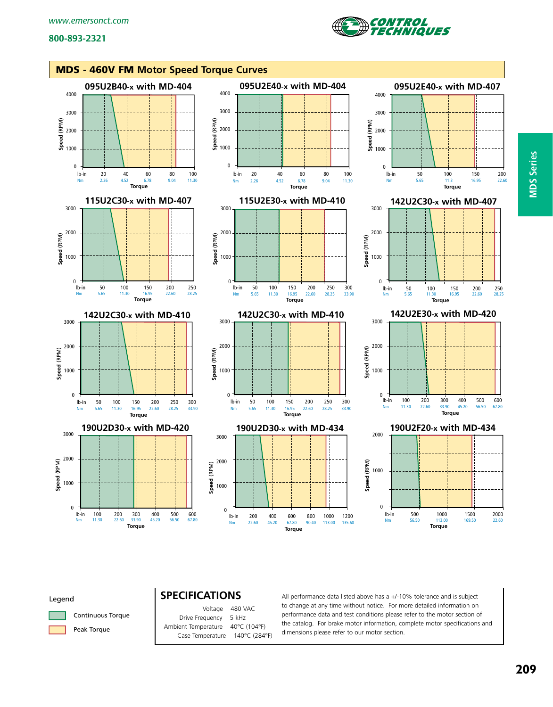



#### Legend



Peak Torque

 Voltage 480 VAC Drive Frequency 5 kHz Ambient Temperature 40°C (104°F) Case Temperature 140°C (284°F)

**SPECIFICATIONS** All performance data listed above has a +/-10% tolerance and is subject to change at any time without notice. For more detailed information on performance data and test conditions please refer to the motor section of the catalog. For brake motor information, complete motor specifications and dimensions please refer to our motor section.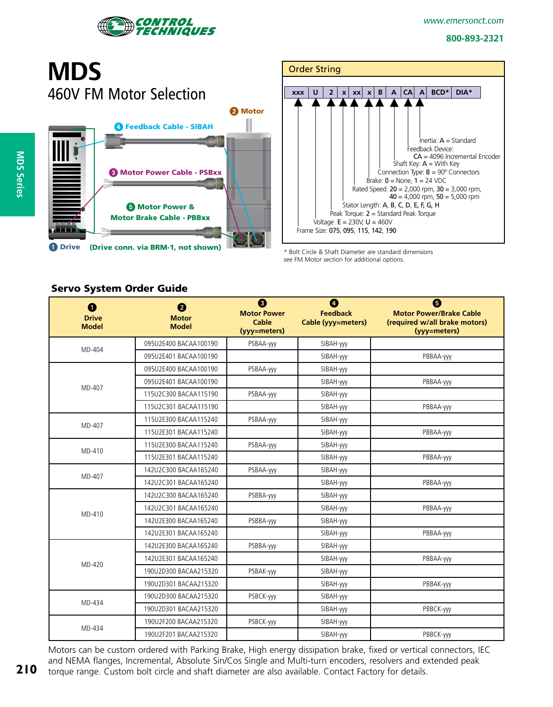

# **MDS** 460V FM Motor Selection 2 Motor Feedback Cable - SIBAH **8 Motor Power Cable - PSBxx 6 Motor Power &** Motor Brake Cable - PBBxx provin **O** Drive (Drive conn. via BRM-1, not shown)



\* Bolt Circle & Shaft Diameter are standard dimensions see FM Motor section for additional options.

### Servo System Order Guide

| $\bullet$<br><b>Drive</b><br><b>Model</b> | 0<br><b>Motor</b><br><b>Model</b> | ❸<br><b>Motor Power</b><br><b>Cable</b><br>(vyy=meters) | ❹<br><b>Feedback</b><br>Cable (yyy=meters) | ❺<br><b>Motor Power/Brake Cable</b><br>(required w/all brake motors)<br>(yyy=meters) |
|-------------------------------------------|-----------------------------------|---------------------------------------------------------|--------------------------------------------|--------------------------------------------------------------------------------------|
| MD-404                                    | 095U2E400 BACAA100190             | PSBAA-yyy                                               | SIBAH-yyy                                  |                                                                                      |
|                                           | 095U2E401 BACAA100190             |                                                         | SIBAH-yyy                                  | PBBAA-yyy                                                                            |
|                                           | 095U2E400 BACAA100190             | PSBAA-yyy                                               | SIBAH-yyy                                  |                                                                                      |
| MD-407                                    | 095U2E401 BACAA100190             |                                                         | SIBAH-yyy                                  | PBBAA-yyy                                                                            |
|                                           | 115U2C300 BACAA115190             | PSBAA-yyy                                               | SIBAH-yyy                                  |                                                                                      |
|                                           | 115U2C301 BACAA115190             |                                                         | SIBAH-yyy                                  | PBBAA-yyy                                                                            |
| MD-407                                    | 115U2E300 BACAA115240             | PSBAA-yyy                                               | SIBAH-yyy                                  |                                                                                      |
|                                           | 115U2E301 BACAA115240             |                                                         | SIBAH-yyy                                  | PBBAA-yyy                                                                            |
| MD-410                                    | 115U2E300 BACAA115240             | PSBAA-yyy                                               | SIBAH-yyy                                  |                                                                                      |
|                                           | 115U2E301 BACAA115240             |                                                         | SIBAH-yyy                                  | PBBAA-yyy                                                                            |
| MD-407                                    | 142U2C300 BACAA165240             | PSBAA-yyy                                               | SIBAH-yyy                                  |                                                                                      |
|                                           | 142U2C301 BACAA165240             |                                                         | SIBAH-yyy                                  | PBBAA-yyy                                                                            |
|                                           | 142U2C300 BACAA165240             | PSBBA-yyy                                               | SIBAH-yyy                                  |                                                                                      |
| MD-410                                    | 142U2C301 BACAA165240             |                                                         | SIBAH-yyy                                  | PBBAA-yyy                                                                            |
|                                           | 142U2E300 BACAA165240             | PSBBA-yyy                                               | SIBAH-yyy                                  |                                                                                      |
|                                           | 142U2E301 BACAA165240             |                                                         | SIBAH-yyy                                  | PBBAA-yyy                                                                            |
|                                           | 142U2E300 BACAA165240             | PSBBA-yyy                                               | SIBAH-yyy                                  |                                                                                      |
|                                           | 142U2E301 BACAA165240             |                                                         | SIBAH-yyy                                  | PBBAA-yyy                                                                            |
| MD-420                                    | 190U2D300 BACAA215320             | PSBAK-yyy                                               | SIBAH-yyy                                  |                                                                                      |
|                                           | 190U2D301 BACAA215320             |                                                         | SIBAH-yyy                                  | PBBAK-yyy                                                                            |
| MD-434                                    | 190U2D300 BACAA215320             | PSBCK-yyy                                               | SIBAH-yyy                                  |                                                                                      |
|                                           | 190U2D301 BACAA215320             |                                                         | SIBAH-yyy                                  | PBBCK-yyy                                                                            |
|                                           | 190U2F200 BACAA215320             | PSBCK-yyy                                               | SIBAH-yyy                                  |                                                                                      |
| MD-434                                    | 190U2F201 BACAA215320             |                                                         | SIBAH-yyy                                  | PBBCK-yyy                                                                            |

Motors can be custom ordered with Parking Brake, High energy dissipation brake, fixed or vertical connectors, IEC and NEMA flanges, Incremental, Absolute Sin/Cos Single and Multi-turn encoders, resolvers and extended peak torque range. Custom bolt circle and shaft diameter are also available. Contact Factory for details.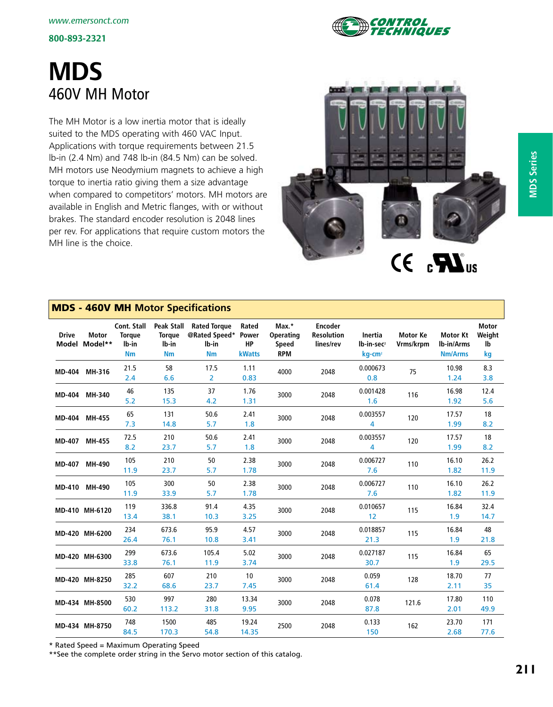

# **MDS** 460V MH Motor

The MH Motor is a low inertia motor that is ideally suited to the MDS operating with 460 VAC Input. Applications with torque requirements between 21.5 lb-in (2.4 Nm) and 748 lb-in (84.5 Nm) can be solved. MH motors use Neodymium magnets to achieve a high torque to inertia ratio giving them a size advantage when compared to competitors' motors. MH motors are available in English and Metric flanges, with or without brakes. The standard encoder resolution is 2048 lines per rev. For applications that require custom motors the MH line is the choice.



# MDS - 460V MH **Motor Specifications**

| <b>Drive</b> | <b>Motor</b><br>Model Model** | Cont. Stall<br><b>Torque</b><br>lb-in<br><b>Nm</b> | Peak Stall<br><b>Torque</b><br>lb-in<br><b>Nm</b> | <b>Rated Torque</b><br>@Rated Speed* Power<br>lb-in<br><b>Nm</b> | Rated<br><b>HP</b><br><b>kWatts</b> | Max.*<br><b>Operating</b><br>Speed<br><b>RPM</b> | <b>Encoder</b><br><b>Resolution</b><br>lines/rev | <b>Inertia</b><br>lb-in-sec <sup>2</sup><br>kg-cm <sup>2</sup> | <b>Motor Ke</b><br>Vrms/krpm | <b>Motor Kt</b><br>Ib-in/Arms<br><b>Nm/Arms</b> | <b>Motor</b><br>Weight<br>lb<br>kg |
|--------------|-------------------------------|----------------------------------------------------|---------------------------------------------------|------------------------------------------------------------------|-------------------------------------|--------------------------------------------------|--------------------------------------------------|----------------------------------------------------------------|------------------------------|-------------------------------------------------|------------------------------------|
|              | MD-404 MH-316                 | 21.5<br>2.4                                        | 58<br>6.6                                         | 17.5<br>$\overline{2}$                                           | 1.11<br>0.83                        | 4000                                             | 2048                                             | 0.000673<br>0.8                                                | 75                           | 10.98<br>1.24                                   | 8.3<br>3.8                         |
|              | MD-404 MH-340                 | 46<br>5.2                                          | 135<br>15.3                                       | 37<br>4.2                                                        | 1.76<br>1.31                        | 3000                                             | 2048                                             | 0.001428<br>1.6                                                | 116                          | 16.98<br>1.92                                   | 12.4<br>5.6                        |
|              | MD-404 MH-455                 | 65<br>7.3                                          | 131<br>14.8                                       | 50.6<br>5.7                                                      | 2.41<br>1.8                         | 3000                                             | 2048                                             | 0.003557<br>4                                                  | 120                          | 17.57<br>1.99                                   | 18<br>8.2                          |
|              | MD-407 MH-455                 | 72.5<br>8.2                                        | 210<br>23.7                                       | 50.6<br>5.7                                                      | 2.41<br>1.8                         | 3000                                             | 2048                                             | 0.003557<br>4                                                  | 120                          | 17.57<br>1.99                                   | 18<br>8.2                          |
|              | MD-407 MH-490                 | 105<br>11.9                                        | 210<br>23.7                                       | 50<br>5.7                                                        | 2.38<br>1.78                        | 3000                                             | 2048                                             | 0.006727<br>7.6                                                | 110                          | 16.10<br>1.82                                   | 26.2<br>11.9                       |
|              | MD-410 MH-490                 | 105<br>11.9                                        | 300<br>33.9                                       | 50<br>5.7                                                        | 2.38<br>1.78                        | 3000                                             | 2048                                             | 0.006727<br>7.6                                                | 110                          | 16.10<br>1.82                                   | 26.2<br>11.9                       |
|              | MD-410 MH-6120                | 119<br>13.4                                        | 336.8<br>38.1                                     | 91.4<br>10.3                                                     | 4.35<br>3.25                        | 3000                                             | 2048                                             | 0.010657<br>12                                                 | 115                          | 16.84<br>1.9                                    | 32.4<br>14.7                       |
|              | MD-420 MH-6200                | 234<br>26.4                                        | 673.6<br>76.1                                     | 95.9<br>10.8                                                     | 4.57<br>3.41                        | 3000                                             | 2048                                             | 0.018857<br>21.3                                               | 115                          | 16.84<br>1.9                                    | 48<br>21.8                         |
|              | MD-420 MH-6300                | 299<br>33.8                                        | 673.6<br>76.1                                     | 105.4<br>11.9                                                    | 5.02<br>3.74                        | 3000                                             | 2048                                             | 0.027187<br>30.7                                               | 115                          | 16.84<br>1.9                                    | 65<br>29.5                         |
|              | MD-420 MH-8250                | 285<br>32.2                                        | 607<br>68.6                                       | 210<br>23.7                                                      | 10<br>7.45                          | 3000                                             | 2048                                             | 0.059<br>61.4                                                  | 128                          | 18.70<br>2.11                                   | 77<br>35                           |
|              | MD-434 MH-8500                | 530<br>60.2                                        | 997<br>113.2                                      | 280<br>31.8                                                      | 13.34<br>9.95                       | 3000                                             | 2048                                             | 0.078<br>87.8                                                  | 121.6                        | 17.80<br>2.01                                   | 110<br>49.9                        |
|              | MD-434 MH-8750                | 748<br>84.5                                        | 1500<br>170.3                                     | 485<br>54.8                                                      | 19.24<br>14.35                      | 2500                                             | 2048                                             | 0.133<br>150                                                   | 162                          | 23.70<br>2.68                                   | 171<br>77.6                        |

\* Rated Speed = Maximum Operating Speed

\*\*See the complete order string in the Servo motor section of this catalog.

**MDS Series**

**MDS Series**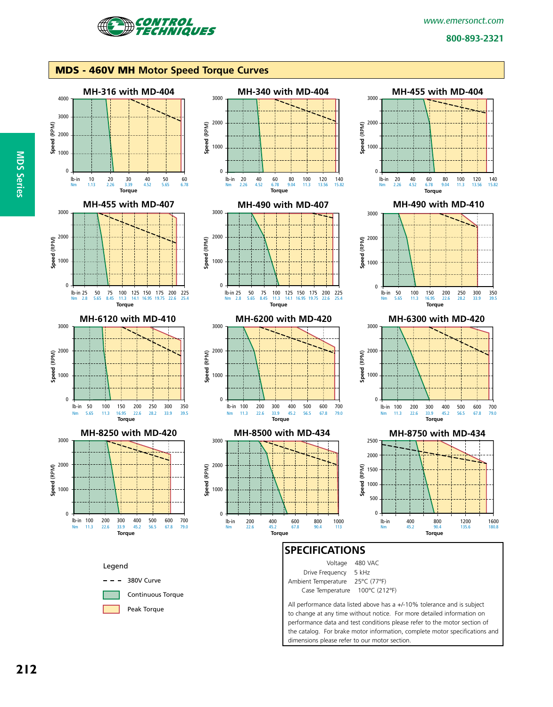

#### MDS - 460V MH **Motor Speed Torque Curves**



dimensions please refer to our motor section.